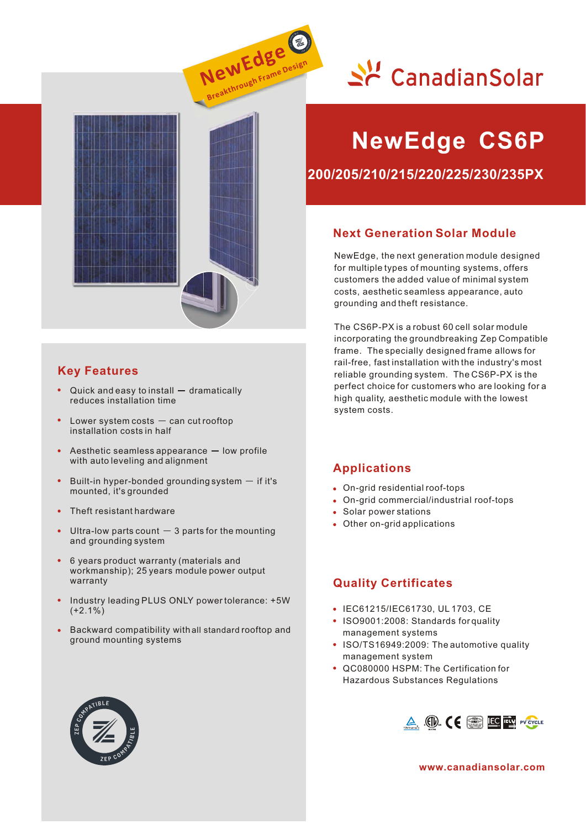





### **Key Features**

- Quick and easy to install  $-$  dramatically reduces installation time
- Lower system costs  $-$  can cut rooftop installation costs in half
- Aesthetic seamless appearance  $-$  low profile with auto leveling and alignment
- Built-in hyper-bonded grounding system  $-$  if it's mounted, it's grounded
- Theft resistant hardware
- Ultra-low parts count  $-3$  parts for the mounting and grounding system
- 6 years product warranty (materials and workmanship); 25 years module power output warranty
- Industry leading PLUS ONLY power tolerance: +5W  $(+2.1\%)$
- Backward compatibility with all standard rooftop and ground mounting systems

# **NewEdge CS6P**

**200/205/210/215/220/225/230/235PX**

#### **Next Generation Solar Module**

NewEdge, the next generation module designed for multiple types of mounting systems, offers customers the added value of minimal system costs, aesthetic seamless appearance, auto grounding and theft resistance.

The CS6P-PX is a robust 60 cell solar module incorporating the groundbreaking Zep Compatible frame. The specially designed frame allows for rail-free, fast installation with the industry's most reliable grounding system. The CS6P-PX is the perfect choice for customers who are looking for a high quality, aesthetic module with the lowest system costs.

#### **Applications**

- On-grid residential roof-tops
- On-grid commercial/industrial roof-tops
- Solar power stations
- Other on-grid applications

#### **Quality Certificates**

- IEC61215/IEC61730, UL 1703, CE
- ISO9001:2008: Standards for quality management systems
- ISO/TS16949:2009: The automotive quality management system
- QC080000 HSPM: The Certification for Hazardous Substances Regulations



**www.canadiansolar.com**